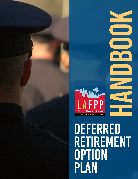

# Deferred **RETIREMENT OPTION** Plan

handbook as a second the second second the second second the second second term in the second second second second second second second second second second second second second second second second second second second se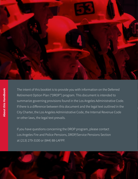

The intent of this booklet is to provide you with information on the Deferred Retirement Option Plan ("DROP") program. This document is intended to summarize governing provisions found in the Los Angeles Administrative Code. If there is a difference between this document and the legal text outlined in the City Charter, the Los Angeles Administrative Code, the Internal Revenue Code or other laws, the legal text prevails.

If you have questions concerning the DROP program, please contact Los Angeles Fire and Police Pensions, DROP/Service Pensions Section at (213) 279-3100 or (844) 88-LAFPP.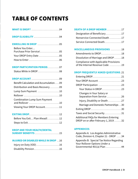# **table of contents**

| <b>WHAT IS DROP?</b> 04                                                                                                                                                                                                                     |
|---------------------------------------------------------------------------------------------------------------------------------------------------------------------------------------------------------------------------------------------|
| DROP ELIGIBILITY 04                                                                                                                                                                                                                         |
| <b>ENROLLING IN DROP 05</b><br>Before You Enter                                                                                                                                                                                             |
| Purchase Prior Service!05<br>Your DROP Entry Date 05                                                                                                                                                                                        |
| DROP PARTICIPATION PERIOD07<br>Status While in DROP08                                                                                                                                                                                       |
| DROP ACCOUNT 09                                                                                                                                                                                                                             |
| <b>Benefit Calculation and Accumulation09</b><br>Distribution and Basis Recovery 09<br>Lump Sum Payment 10<br>Rollover 10<br><b>Combination Lump Sum Payment</b><br>and Rollover 10<br>Viewing Your DROP Account11<br><b>EXITING DROP12</b> |
| Before You Exit Plan Ahead!12<br>Steps to Exit12                                                                                                                                                                                            |

#### **DROP and Your Health/Dental Subsidy Benefits** . . . . . . . . . . . . . . . . . . . 15

| <b>INJURED OR DISABLED WHILE IN DROP 16</b> |  |
|---------------------------------------------|--|
| Injury on Duty $(IOD)$ 16                   |  |

|  |  |  | Disability Pension16 |
|--|--|--|----------------------|

| <b>DEATH OF A DROP MEMBER 17</b>                                                    |
|-------------------------------------------------------------------------------------|
| Designation of Beneficiary17                                                        |
| Nonservice-Connected Death 17                                                       |
| Service-Connected Death17                                                           |
| <b>MISCELLANEOUS PROVISIONS 18</b>                                                  |
| Amendments to DROP18                                                                |
| Dissolution of Marriage and DROP 18                                                 |
| <b>Compliance with Applicable Provisions</b><br>of the Internal Revenue Code 19     |
|                                                                                     |
| <b>DROP FREQUENTLY ASKED QUESTIONS .21</b>                                          |
|                                                                                     |
| Your DROP Account 23                                                                |
| DROP Participation 23                                                               |
| Your Status in DROP 23                                                              |
| Changes in Your Salary or<br>Separation from Service 26                             |
| Injury, Disability or Death 27                                                      |
| Marriage and Domestic Partnerships 30                                               |
| Exiting DROP 30                                                                     |
| Taxes and Social Security31                                                         |
| <b>Additional FAQs for Members Entering</b><br>DROP on or after February 1, 2019 32 |
|                                                                                     |

#### **Appendices**

Appendix A: Los Angeles Administrative Code, Division 4, Chapter 21 - DROP . . . 34 Appendix B: Special Tax Notice Regarding Your Rollover Options Under a Governmental 401(a) Plan . . . . . . . . . . . . 44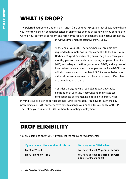# **WHAT IS DROP?**

The Deferred Retirement Option Plan ("DROP") is a voluntary program that allows you to have your monthly pension benefit deposited in an interest-bearing account while you continue to work in your current department and receive your salary and benefits as an active employee.



DROP was implemented effective May 1, 2002.

At the end of your DROP period, when you are officially required to terminate sworn employment with the Fire, Police, Harbor, or Airport Department, you will begin to receive your monthly pension payments based upon your years of service (YOS) and salary at the time you entered DROP, and any cost of living adjustments applied to your pension while in DROP. You will also receive your accumulated DROP account balance as either a lump-sum payment, a rollover to a tax-qualified plan, or a combination of these.

Consider the age at which you plan to exit DROP, take distribution of your DROP account and the related tax consequences before making a decision to enroll. Keep

in mind, your decision to participate in DROP is irrevocable. (You have through the day preceding your DROP entry effective date to change your mind after you apply for DROP. Thereafter, you *cannot* exit DROP without terminating employment.)

# **DROP ELIGIBILITY**

You are eligible to enter DROP if you meet the following requirements:

| If you are an active member of this tier | You may enter DROP when                                           |
|------------------------------------------|-------------------------------------------------------------------|
| Tier 2 or Tier 4                         | You have at least 25 years of service                             |
| Tier 3, Tier 5 or Tier 6                 | You have at least 25 years of service;<br>and are at least age 50 |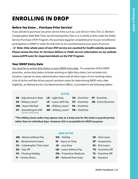# **ENROLLING IN DROP**

# Before You Enter… Purchase Prior Service!

If you decide to purchase any prior service time such as, Lost Service Time (Tier 2), Workers' Compensation State Rate Time, recruit training time (Tiers 3, 4, 5, and 6) or time under the Public Service Purchase (PSP) Program, the purchase must be completed prior to your enrollment/ participation in DROP in order for that time to be counted toward your years of service. **Note: Only whole years of non-PSP service are counted for health subsidy purposes. Please review the** *How To: Purchase Military or Public Service* **information on our website (www.LAFPP.com) for important details on the PSP Program.**

### Your DROP Entry Date

You must be on active duty status on your DROP entry date. For purposes of this DROP provision, active duty status includes working on light-duty status, but excludes sick, vacation, injured-on-duty, administrative leave and all other types of non-working status. A list of Active and Not Active payroll variation codes for determining DROP entry date eligibility, as defined by the City Administrative Officer, is provided in the following tables:

- **AR** Adjustment in Rate **LD** Light Duty **OS** Overtime **PF** Overtime
- 
- 
- **HY** Smoothing for HW *(System Generated)*

#### **ACTIVE**

- **HW** Hours Worked **ML** Military Leave\* **PA** Overtime **MP** – Military Leave\* **PB** – Overtime
	-
- 
- **DS** Military Leave\* **LP**  Leave with Pay **OT** Overtime **UB** Union Business
- **\*The military leave codes may appear only as a lump sum for the week or payroll period, rather than on individual days. However, this is acceptable for DROP purposes**
- **AW** Absent without Pay **HO** Holiday **SK** Sick Leave
- **BL** Bereavement Leave **ID** Injury on Duty **SP** Suspension
- **CU** Catastrophic Time Used **JD** Jury Duty **SS** Sick Leave
- 
- 
- 
- **NON-ACTIVE**
- 
- 
- 
- **DO** Day Off **LW** Leave without Pay **TO** Overtime Off
- **FH** Floating Holiday **PM** Preventive Medicine **TS** Overtime Off
- **FI** Family Illness **RP** Relieved from Duty **VC** Vacation
- 
- 
- 
- 
- -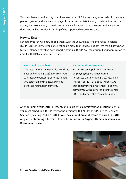You must have an active duty payroll code on your DROP entry date, as recorded in the City's payroll system. In the event your payroll status on your DROP entry date is defined as Not Active, your DROP entry date will automatically be advanced to the next qualifying entry date. You will be notified in writing of your approved DROP entry date.

#### How to Enter

Schedule your DROP entry appointment with the Los Angeles Fire and Police Pensions (LAFPP), DROP/Service Pensions Section no more than 60 days but not less than 3 days prior to your intended effective date of participation in DROP. You must submit your application to enroll in DROP by appointment only.

#### **Fire or Police Members:**

Contact LAFPP's DROP/Service Pensions Section by calling (213) 279-3100. You will receive counseling services to help you select an entry date, as well as generate your Letter of Intent.

#### **Harbor or Airport Members:**

First make an appointment with your employing department's Human Resources Unit by calling (310) 732-3480 (Harbor) or (424) 646-5900 (Airport). At that appointment, a retirement liaison will provide you with a Letter of Intent to enter DROP and other retirement information.

After obtaining your Letter of Intent, and in order to submit your application to enroll, you must schedule a DROP entry appointment with LAFPP's DROP/Service Pensions Section by calling (213) 279-3100. **You may submit an application to enroll in DROP only after obtaining a Letter of Intent from Harbor or Airports Human Resources or Retirement Liaison.** 

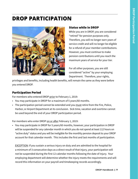# **DROP PARTICIPATION**



# Status while in DROP

While you are in DROP, you are considered "retired" for pension purposes only. Therefore, you will no longer earn years of service credit and will no longer be eligible for a refund of your member contributions. However, you must continue to make pension contributions until you reach the maximum years of service for your tier.

For all other purposes, you are still considered "active" by your employing Department. Therefore, your rights,

privileges and benefits, including health benefits, will remain the same as they were before you entered DROP.

# Participation Period

For members who entered DROP prior to February 1, 2019:

- You may participate in DROP for a maximum of 5 years/60 months.
- • The participation period cannot be extended and you must retire from the Fire, Police, Harbor, or Airport Department at its conclusion. Sick time, vacation and overtime cannot be used beyond the end of your DROP participation period.

For members who enter DROP on or after February 1, 2019:

• You may participate in DROP for 5 years/60 months, however, your participation in DROP will be suspended for any calendar month in which you do not spend at least 112 hours on "active duty" status and you will be ineligible for the monthly pension deposit to your DROP account for that calendar month. This includes the first and last months of participation.

EXCEPTION: If you sustain a serious injury on duty and are admitted to the hospital for a minimum of 3 consecutive days as a direct result of that injury, your participation will not be suspended during the first 12 calendar months following the date of injury. Your employing department will determine whether the injury meets the requirements and will record this information on your payroll and timekeeping records accordingly.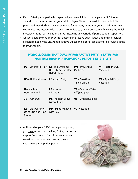- If your DROP participation is suspended, you are eligible to participate in DROP for up to 30 additional months beyond your original 5-year/60-month participation period. Your participation period can only be extended for as many months as your participation was suspended. No interest will accrue or be credited to your DROP account following the initial 5-year/60-month participation period, including any periods of participation suspension.
- A list of payroll variation codes for determining "active duty" status under this provision, as determined by the City Administrative Officer and labor organizations, is provided in the following table.

# PAYROLL CODES THAT QUALIFY FOR "ACTIVE DUTY" STATUS FOR MONTHLY DROP PARTICIPATION / DEPOSIT ELIGIBILITY

| <b>DS</b> – Differential Pay                                 | <b>KT</b> - Old Overtime<br>Off at Time and One<br>Half (Police) | <b>PM</b> – Preventive<br>Medicine           | <b>VF</b> – Platoon Duty<br>Vacation |
|--------------------------------------------------------------|------------------------------------------------------------------|----------------------------------------------|--------------------------------------|
| <b>HO</b> – Holiday Hours                                    | $LD - Light Duty$                                                | <b>TO</b> – Overtime<br>Taken Off (1.5)      | <b>VS</b> – Special Duty<br>Vacation |
| $HW - Actual$<br><b>Hours Worked</b>                         | $LP -$ Leave<br>with Pay                                         | <b>TS</b> – Overtime Taken<br>Off (Straight) |                                      |
| $JD - Jury Duty$                                             | <b>ML</b> – Military Leave<br><b>Without Pay</b>                 | <b>UB</b> – Union Business                   |                                      |
| <b>KS</b> – Old Overtime<br>Off at Straight Time<br>(Police) | <b>MP</b> – Military Leave<br>With Pay                           | <b>VC</b> - Vacation                         |                                      |

• At the end of your DROP participation period, you must retire from the Fire, Police, Harbor, or Airport Department. Sick time, vacation and overtime cannot be used beyond the end of your DROP participation period.

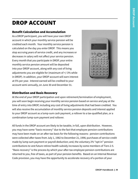# **DROP ACCOUNT**

# Benefit Calculation and Accumulation

As a DROP participant, you will have your own DROP account in which your monthly service pension will be credited each month. Your monthly service pension is calculated on the day you enter DROP. This means you stop accruing years of service credit, and any increases or decreases in salary will not affect your service pension. Every month that you participate in DROP, your entire monthly service pension amount will be deposited into your DROP account, along with any cost of living adjustments you are eligible for (maximum of +/-3% while in DROP). In addition, your DROP account will earn interest at 5% per year. Interest earned will be credited to your account semi-annually, on June 30 and December 31.



# Distribution and Basis Recovery

At the end of your DROP participation and upon retirement/termination of employment, you will soon begin receiving your monthly service pension based on service and pay at the time of entry into DROP, including any cost of living adjustments that had been credited. You will also receive the accumulation of monthly service pension deposits and interest applied to your DROP account as a lump-sum cash payment, a rollover to a tax-qualified plan, or a combination lump-sum payment and rollover.

All funds in the DROP account are likely to be taxable, in full, upon distribution. However, you may have some "basis recovery" due to the fact that employee pension contributions may have been made on an after-tax basis for the following reasons: pension contributions were collected after-taxes from July 1, 1982 to December 21, 1996; purchases of service credit made by lump sum payment or payroll deduction; and, the voluntary 2% "opt-in" pension contributions to vest future retiree health subsidy increases by some members of Tiers 2-5. "Basis recovery" is the process by which your after-tax employee pension contributions are returned to you, free of taxes, as part of your pension benefits. Based on an Internal Revenue Code provision, you may have the opportunity to accelerate recovery of a portion of your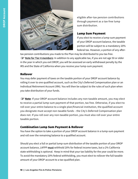

eligible after-tax pension contributions through payment as a tax-free lump sum distribution.

### Lump Sum Payment

If you elect to receive a lump-sum payment of your DROP account balance, the taxable portion will be subject to a mandatory 20% federal tax. However, a portion of any after-

tax pension contributions you made to the Plan may be distributed to you tax-free. **Source for Tier 4 members:** In addition to any applicable tax, if you are not age 50 or older in the year in which you exit DROP, you will be assessed an early withdrawal penalty by the IRS and the State of California when you receive your lump-sum payment.

### Rollover

You may defer payment of taxes on the taxable portion of your DROP account balance by rolling it over to one qualified account, such as the City's Deferred Compensation plan or an Individual Retirement Account (IRA). You will then be subject to the rules of such plan when you take distribution of your funds.

**S Note**: If your DROP account balance includes any non-taxable amount, you may elect to receive a partial lump-sum payment of that portion, tax free. Otherwise, if you elect to roll over your entire balance to a single plan/financial institution, the qualified account you designate must accept non-taxable funds – the City's Deferred Compensation plan does not. If you roll over any non-taxable portion, you must also roll over your entire taxable portion.

# Combination Lump Sum Payment & Rollover

You have the option to take a portion of your DROP account balance in a lump-sum payment and roll over the remaining balance to a qualified account.

Should you elect a full or partial lump-sum distribution of the taxable portion of your DROP account balance, LAFPP **must** withhold 20% for federal income taxes, but a 2% California state withholding is optional. Keep in mind that your tax liability for the year could be more. To avoid the mandatory 20% federal withholding, you must elect to rollover the full taxable amount of your DROP account to a tax-qualified plan.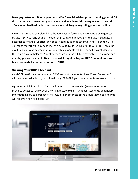**We urge you to consult with your tax and/or financial advisor prior to making your DROP distribution election so that you are aware of any financial consequences that could affect your distribution decision. We cannot advise you regarding your tax liability.**

LAFPP must receive completed distribution election forms and documentation requested by DROP/Service Pensions staff no later than 90 calendar days after the DROP exit date. In accordance with the "Special Tax Notice Regarding Your Rollover Options" (Appendix B), if you fail to meet the 90-day deadline, as a default, LAFPP will distribute your DROP account as a lump sum cash payment only, subject to a mandatory 20% federal tax withholding for the entire account balance. Any after-tax contributions will be recoverable solely from your monthly pension payments. **No interest will be applied to your DROP account once you have terminated your participation in DROP.** 

### Viewing Your DROP Account

As a DROP participant, semi-annual DROP account statements (June 30 and December 31) will be made available to you online through *MyLAFPP*, your member self-service web portal.

*MyLAFPP*, which is available from the homepage of our website (www.LAFPP.com), provides access to review your DROP balance, view semi-annual statements, beneficiary information, service purchases and calculate an estimate of the accumulated balance you will receive when you exit DROP.

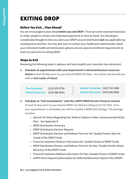# **EXITING DROP**

# Before You Exit…Plan Ahead!

You are encouraged to plan ahead **before you exit DROP**. There are some important decisions to make, people to contact and important paperwork to have on hand. You should give considerable thought to how you want your DROP account distributed **and** any applicable tax consequences and fees. You may also want to contact your health plan administrator about your retirement health and dental plan options and any special enrollment requirements at least one year prior to exiting DROP.

# Steps to Exit

Reviewing the following steps in advance will help simplify your transition into retirement:

**1. Schedule an appointment with your Department's retirement/human resources liaison** at least 90 days prior to your desired DROP exit date. Your liaison will provide you with an **Exit Letter of Intent**.

**Fire Personnel** (213) 978-3750 **Police Personnel** (213) 486-6610

**Harbor Personnel** (310) 732-3486 **Airport Personnel** (424) 646-5900

- **2. Schedule an "Exit Consultation" with the LAFPP DROP/Service Pensions Section** at least 45 days prior to your desired DROP exit date by calling (213) 279-3100. Once your appointment is scheduled, you will be emailed a DROP Exit Package. This package includes:
	- Special Tax Notice Regarding Your Rollover Options Under a Governmental 401(a) Plan – See Appendix B
	- • DROP Distribution Summary
	- DROP Distribution Election Request
	- • DROP Distribution Election and Rollover Form for the Taxable Portion (Not Yet Taxed) of the DROP Funds
	- • Financial Institution Rollover Information for Taxable Portion of DROP Funds
	- DROP Distribution Election and Rollover Form for the Non-Taxable Portion (Basis Recovery) of the DROP Funds
	- • Financial Institution Rollover Information for Non-Taxable Portion of DROP Funds
	- • LAFPP Direct Deposit Authorization for Deferred Retirement Option Plan (DROP)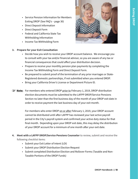- • Service Pension Information for Members Exiting DROP (See FAQ's – page 30)
- • Direct Deposit Information
- • Direct Deposit Form
- • Federal and California State Tax Withholding Information
- Income Tax Withholding Form



#### **3. Prepare for your Exit Consultation**

- Decide how you wish to receive your DROP account balance. We encourage you to consult with your tax and/or financial advisor, so you are aware of any tax or financial consequences that could affect your distribution decision.
- • Prepare to receive your monthly pension plan payments by completing the Income Tax Withholding Form and Direct Deposit Form.
- Be prepared to submit proof of the termination of any prior marriages or State-Registered domestic partnerships, if not submitted when you entered DROP.
- Bring your California Driver's License or Department Picture ID.
- **F** Note: For members who entered DROP prior to February 1, 2019, DROP distribution election documents must be submitted to the LAFPP DROP/Service Pensions Section no later than the first business day of the month of your DROP exit date in order to receive payment the last business day of your exit month.

For members who enter DROP on or after February 1, 2019, your DROP account cannot be distributed until after LAFPP has reviewed your last active payroll period in the City's payroll system and confirmed your active duty status for that final month. Depending upon your DROP exit date, this may delay the distribution of your DROP account for a minimum of one month after your exit date.

- **4. Meet with a LAFPP DROP/Service Pensions Counselor** to review, submit and receive the following checklist items:
	- • Submit your Exit Letter of Intent (LOI)
	- • Submit your DROP Distribution Election Request
	- Submit completed Distribution Election and Rollover Forms (Taxable and Non-Taxable Portions of the DROP Funds)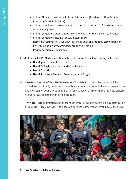- Submit Financial Institution Rollover Information (Taxable and Non-Taxable Portions of the DROP Funds)
- Submit completed LAFPP Direct Deposit Authorization For Deferred Retirement Option Plan (DROP)
- Submit completed Direct Deposit Form for your monthly pension payments
- Submit completed Income Tax Withholding Form
- Receive an estimate of your DROP balance at exit and monthly service pension benefit, including any community property division(s)
- • Review pension roll deadlines

In addition, an LAFPP Medical and Dental Benefits Counselor will meet with you to discuss:

- Health plans available to retirees
- • Health Subsidy Medicare and Non-Medicare
- Dental Subsidy
- Health Insurance Premium Reimbursement Program
- **5. Take Distribution of Your DROP Account**  Your DROP account distribution will be mailed to you, directly deposited to your bank account and/or rolled over to an IRA or taxqualified plan of your choice on the last business day of the month (see the Note on item #3 above regarding the timing of distributions).

**Note:** Late submission and/or changes to your DROP exit date will delay distribution of your DROP account. DROP balances do not accrue interest once you have exited DROP.

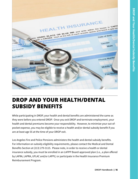

# **DROP AND YOUR HEALTH/DENTAL SUBSIDY BENEFITS**

While participating in DROP, your health and dental benefits are administered the same as they were before you entered DROP. Once you exit DROP and terminate employment, your health and dental premiums become your responsibility. However, to minimize your out-ofpocket expense, you may be eligible to receive a health and/or dental subsidy benefit if you are at least age 55 at the time of your DROP exit.

Los Angeles Fire and Police Pensions administers the health and dental subsidy benefits. For information on subsidy eligibility requirements, please contact the Medical and Dental Benefits Section at (213) 279-3115. Please note, in order to receive a health or dental insurance subsidy, you must be enrolled in an LAFPP Board-approved plan (i.e., a plan offered by LAFRA, LAPRA, UFLAC and/or LAPPL) or participate in the Health Insurance Premium Reimbursement Program.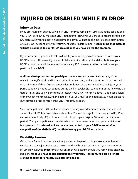# **INJURED OR DISABLED WHILE IN DROP**

# Injury on Duty

If you are injured on duty (IOD) while in DROP and you remain on IOD status at the conclusion of your DROP period, you must exit DROP at that time. However, you are permitted to continue on IOD status with your employing Department, but you will not be eligible to receive distribution of your DROP account until your retirement status is determined. **Keep in mind that interest will not be applied to your DROP account once you have exited the program.**

If you subsequently decide to take a disability retirement, you are required to forfeit your DROP account. However, if you elect to take a service retirement and distribution of your DROP account, you will be required to repay any IOD pay earned after the last day of your participation in DROP.

### **Additional IOD provisions for participants who enter on or after February 1, 2019:**

While in DROP, if you should incur a serious injury on duty and are admitted to the hospital for a minimum of three (3) consecutive days or longer as a direct result of that injury, your participation will not be suspended during the first twelve (12) calendar months following the date of injury and you will continue to receive your DROP monthly deposit. Upon conclusion of the twelfth month following the date of injury you must spend at least 112 hours on active duty status in order to receive the DROP monthly deposit.

Your participation in DROP will be suspended for any calendar month in which you do not spend at least 112 hours on active duty status. You will be eligible to participate in DROP for a maximum of thirty (30) additional months beyond your original 60-month participation period. Your participation can only be extended for as many months as your participation is suspended. **No interest will accrue nor be credited to your DROP Account after completion of the sixtieth (60) month following your DROP entry date.** 

# Disability Pension

If you apply for and receive a disability pension while participating in DROP, your length of service and pay adjustments, etc., are restored and brought current as if you never entered DROP. However, you **must** forfeit your entire DROP account should you receive the disability pension. **Once you have taken distribution of your DROP account, you are no longer eligible to apply for or receive a disability pension.**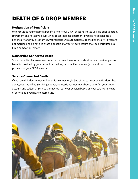# **DEATH OF A DROP MEMBER**

# Designation of Beneficiary

We encourage you to name a beneficiary for your DROP account should you die prior to actual retirement and not leave a surviving spouse/domestic partner. If you do not designate a beneficiary and you are married, your spouse will automatically be the beneficiary. If you are not married and do not designate a beneficiary, your DROP account shall be distributed as a lump-sum to your estate.

# Nonservice-Connected Death

Should you die of nonservice-connected causes, the normal post-retirement survivor pension benefits provided by your tier will be paid to your qualified survivor(s), in addition to the proceeds of your DROP account.

# Service-Connected Death

If your death is determined to be service-connected, in lieu of the survivor benefits described above, your Qualified Surviving Spouse/Domestic Partner may choose to forfeit your DROP account and collect a "Service-Connected" survivor pension based on your salary and years of service as if you never entered DROP.

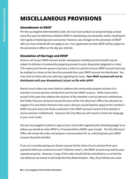# **MISCELLANEOUS PROVISIONS**

# Amendments to DROP

Per the Los Angeles Administrative Code, the City must conduct an actuarial study at least every five years to determine whether DROP is maintaining cost neutrality and/or meeting the City's goals of retaining sworn personnel. However, any changes to the provisions of DROP after you have entered will not apply to you. Your agreement to enter DROP will be subject to the provisions in effect on the day you entered.

# Dissolution of Marriage and DROP

Some or all of your DROP account and/or subsequent monthly pension benefit may be subject to division of community property pursuant to your dissolution judgment or order. This means your former spouse may have a claim to a portion of your DROP account and may be entitled to a share at the time the proceeds from your DROP account are distributed. You may wish to check with your attorney regarding this issue. **Your DROP account will not be distributed until your dissolution(s) is(are) on file with LAFPP.**

Recent court orders are more likely to address the community property division of a member's service pension entitlement and his/her DROP account. While most orders issued in the past only address the division of the member's service pension entitlement, the Public Pensions General Counsel Division of the City Attorney's Office has advised Los Angeles Fire and Police Pensions that such a division would likewise apply to the member's DROP account (since the funds contained in the DROP account consist of the member's service pension entitlement). However, the City Attorney will need to review the language in *your* court order.

You are encouraged to submit a copy of your court order (signed by the attending judge) to us before you decide to enter DROP or, if issued while in DROP, upon receipt. The City Attorney's Office will review the order and prepare a memorandum for us, indicating how your DROP account should be divided.

If you are currently paying your former spouse his/her share of your pension from your paycheck while you continue to work ("Gillmore order"), the DROP account may well be your separate property. However, a copy of the order should still be submitted to us so that the City Attorney can review it and make the final determination. Also, if you believe you were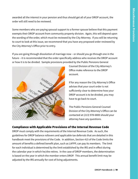awarded all the interest in your pension and thus should get all of your DROP account, the order will still need to be reviewed.

Some members who are paying spousal support to a former spouse believe that this payment exempts their DROP account from community property division. Again, this will depend upon the wording of the order, which must be reviewed by the City Attorney. If you will be returning to court to look at this issue, we recommend that you have any proposed order reviewed by the City Attorney's Office prior to entry.

If you are going through dissolution of marriage now – or should you go through one in the future – it is recommended that the order specifically address who receives the DROP account or how it is to be divided. Sample provisions provided by the Public Pensions General



Counsel Division of the City Attorney's Office make reference to the DROP account.

If for any reason the City Attorney's Office advises that your court order is not sufficiently clear to determine how your DROP account is to be divided, you may have to go back to court.

The Public Pensions General Counsel Division of the City Attorney's Office can be contacted at (213) 978-6800 should your attorney have any questions.

### Compliance with Applicable Provisions of the Internal Revenue Code

DROP must comply with the requirements of the Internal Revenue Code. As such, the guidelines for DROP balance rollovers and applicable tax deferrals that are detailed in this handbook meet the provisions of the Code. In addition, Section 415 of the Code limits the amount of benefits a defined benefit plan, such as LAFPP, can pay its members. The limit for each individual is determined by the limit established by the IRS and in effect during the calendar year in which he/she retires. In the case of DROP members, the determination is based on the year in which the member enters DROP. This annual benefit limit may be adjusted by the IRS annually for cost of living adjustments.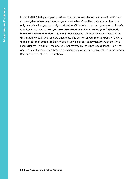**Miscellaneous Provisions Miscellaneous Provisions**

Not all LAFPP DROP participants, retirees or survivors are affected by the Section 415 limit. However, determination of whether your pension benefit will be subject to this limit can only be made when you get ready to exit DROP. If it is determined that your pension benefit is limited under Section 415, **you are still entitled to and will receive your full benefit if you are a member of Tiers 2, 3, 4 or 5.** However, your monthly pension benefit will be distributed to you in two separate payments. The portion of your monthly pension benefit that exceeds the Section 415 limit will be issued in a separate payment through the City's Excess Benefit Plan. (Tier 6 members are not covered by the City's Excess Benefit Plan. Los Angeles City Charter Section 1720 restricts benefits payable to Tier 6 members to the Internal Revenue Code Section 415 limitations.)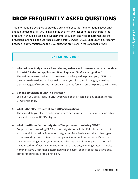# **DROP FREQUENTLY ASKED QUESTIONS**

This information is designed to provide a quick reference tool for information about DROP and is intended to assist you in making the decision whether or not to participate in the program. It should be used as a supplemental document and not a replacement for the provisions outlined in the Los Angeles Administrative Code (LAAC). Should any discrepancy between this information and the LAAC arise, the provisions in the LAAC shall prevail.

### Entering DROP

- **1. Why do I have to sign the various releases, waivers and covenants that are contained in the DROP election application? What happens if I refuse to sign them?** The various releases, waivers and covenants are designed to protect you, LAFPP and the City. We have done our best to disclose to you all of the advantages, as well as disadvantages, of DROP. You must sign all required forms in order to participate in DROP.
- **2. Can the provisions of DROP be changed?**

Yes, but if you are already in DROP, you will not be affected by any changes to the DROP ordinance.

#### **3. What is the effective date of my DROP participation?**

The same date you elect to make your service pension effective. You must be on active duty status on your DROP entry date.

#### **4. What constitutes "active duty status" for purposes of entering DROP?**

For purposes of entering DROP, active duty status includes light-duty status, but excludes sick, vacation, injured on duty, administrative leave and all other types of non-working status. (See charts on page 5 for more information.) If you are on a non-working status, your intended effective date of DROP participation will be adjusted to reflect the date you return to active duty/working status. The City Administrative Officer has determined which payroll codes constitute active duty status for purposes of this provision.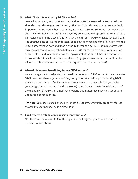#### **5. What if I want to revoke my DROP election?**

To revoke your entry into DROP, you must **submit a DROP Revocation Notice no later than the day prior to your DROP entry effective date**: The Notice may be submitted **in-person**, during regular business hours, at 701 E. 3rd Street, Suite 200, Los Angeles, CA 90013, **by fax** directed to (213) 628-7716, or **by email** sent to dropsp@lafpp.com. It must be received before the close of business at 4:30 p.m., or if faxed or emailed, by 11:59 p.m. The effective date of revocation is established only upon receipt of the Notice prior to the DROP entry effective date and upon signature thereupon by LAFPP administrative staff. If you do not revoke your election before your DROP entry effective date, your decision to enter DROP and to terminate sworn employment at the end of the DROP period will be **irrevocable**. Consult with outside advisors (e.g., your own attorney, accountant, tax advisor or other professional) prior to making your decision to enter DROP.

#### **6. When do I choose a beneficiary for my DROP account?**

We encourage you to designate your beneficiaries for your DROP account when you enter DROP. You may change your beneficiary designation at any time prior to exiting DROP. As your marital status or family circumstances change, it is advisable that you review your designations to ensure that the person(s) named as your DROP beneficiary(ies) is/ are the person(s) you want named. Overlooking this matter may have very serious and undesirable consequences.

**Note:** Your choice of a beneficiary cannot defeat any community property interest awarded to a former spouse in a dissolution.

#### **7. Can I receive a refund of my pension contributions?**

No. Once you have enrolled in DROP, you are no longer eligible for a refund of pension contributions.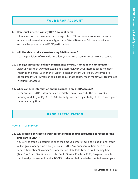# your drop account

#### **8. How much interest will my DROP account earn?**

Interest is earned at an annual percentage rate of 5% and your account will be credited with interest earned semi-annually, on June 30 and December 31. No interest shall accrue after you terminate DROP participation.

#### **9. Will I be able to take a loan from my DROP account?**

No. The provisions of DROP do not allow you to take a loan from your DROP account.

#### **10. Can I get an estimate of how much money my DROP account will accumulate?**

Visit our website at www.lafpp.com and access MyLAFPP, our Internet-based member information portal. Click on the "Log In" button in the MyLAFPP box. Once you are logged into MyLAFPP, you can calculate an estimate of how much money will accumulate in your DROP account.

#### **11. When can I see information on the balance in my DROP account?**

Semi-annual DROP statements are available on our website the first week of January and July in MyLAFPP. Additionally, you can log in to MyLAFPP to view your balance at any time.

#### drop participation

#### YOUR STATUS IN DROP

### **12. Will I receive any service credit for retirement benefit calculation purposes for the time I am in DROP?**

No. Service credit is determined as of the time you enter DROP and no additional credit will be given for any time while you are in DROP. Any prior service time such as Lost Service Time (Tier 2), Workers' Compensation State Rate Time, recruit training time (Tiers 3, 4, 5 and 6) or time under the Public Service Purchase (PSP) Program, must be purchased prior to enrollment in DROP in order for that time to be counted toward your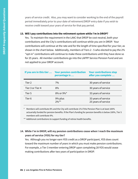years of service credit. Also, you may want to consider working to the end of the payroll period immediately prior to your date of retirement/DROP entry date if you wish to receive credit toward your years of service for that pay period.

#### **13. Will I pay contributions into the retirement system while I'm in DROP?**

Yes. To maintain the requirement in the LAAC that DROP be cost neutral, both your contributions and the City's contributions will continue while you are in DROP. Your contributions will continue at the rate and for the length of time specified for your tier, as shown in the chart below. Additionally, members of Tiers 2 - 5 who elected to pay the 2% "opt-in" contributions will continue to make these contributions until they have done so for 25 years. All member contributions go into the LAFPP Service Pension Fund and are not applied to your DROP account.

|                   | If you are in this tier  Your pension contribution<br>percentage is | <b>Your contributions stop</b><br>after you complete |
|-------------------|---------------------------------------------------------------------|------------------------------------------------------|
| Tier 2            | 7%                                                                  | 30 years of service                                  |
| Tier 3 or Tier 4  | $8\%$                                                               | 30 years of service                                  |
| Tier 5            | 8% or 9%*                                                           | 33 years of service                                  |
| Tier <sub>6</sub> | 9% plus<br>$2\%$ **                                                 | 33 years of service<br>25 years of service           |

Members will contribute 8% and the City will contribute 1% if the Pension Plan is at least 100% actuarially funded for pension benefits. If the Plan's funding for pension benefits is below 100%, Tier 5 members will contribute 9%.

\*\* Additional contributions to support funding of retiree health benefits.

# **14. While I'm in DROP, will my pension contributions cease when I reach the maximum years of service (YOS) for my tier?**

Yes. Although you no longer earn YOS credit as a DROP participant, YOS does count toward the maximum number of years in which you must make pension contributions. For example, a Tier 3 member entering DROP upon completing 28 YOS would cease making contributions after two years of participation in DROP.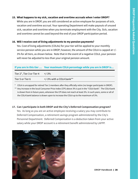#### **15. What happens to my sick, vacation and overtime accruals when I enter DROP?**

While you are in DROP, you are still considered an active employee for purposes of sick, vacation and overtime accrual. Your operating Department will make payouts of unused sick, vacation and overtime when you terminate employment with the City. Sick, vacation and overtime cannot be used beyond the end of your DROP participation period.

#### **16. Will I receive cost of living adjustments to my pension payments?**

Yes. Cost of living adjustments (COLAs) for your tier will be applied to your monthly service pension while you are in DROP; however, the amount of the COLA is capped at +/- 3% for all tiers, as shown below. Note that in the event of a negative COLA, your pension will never be adjusted to less than your original pension amount.

#### **If you are in this tier … Your maximum COLA percentage while you are in DROP is...**

| Tier $2^*$ , Tier 3 or Tier 4 $+/-3\%$ |                             |
|----------------------------------------|-----------------------------|
| Tier 5 or Tier 6                       | $+/-3\%$ with a COLA bank** |

\* COLA is uncapped for retired Tier 2 members after they officially retire (no longer participate in DROP).

\*\* Any increase in the local Consumer Price Index (CPI) above 3% is put in the "COLA bank". The COLA bank is drawn from in future years, whenever the CPI does not reach at least 3%. In such years, some or all of the COLA bank balance is drawn upon to increase the COLA up to the maximum of 3%.

#### **17. Can I participate in both DROP and the City's Deferred Compensation program?**

Yes. As long as you are an active employee receiving a salary you may contribute to Deferred Compensation, a retirement savings program administered by the City's Personnel Department. Deferred Compensation is a deduction taken from your active salary while your DROP account is a retirement benefit administered by LAFPP.

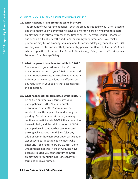#### Changes in Your Salary or Separation from Service

#### **18. What happens if I am promoted while in DROP?**

The amount of your retirement benefit, both the amount credited to your DROP account and the amount you will eventually receive as a monthly pension when you terminate employment and retire, are frozen at the time of entry. Therefore, your DROP account and pension will not reflect the additional pay from your promotion. If you think a promotion may be forthcoming, you may want to consider delaying your entry into DROP. You may wish to also consider that your monthly pension entitlement, if in Tiers 3, 4 or 5, is based upon the calculation of a 12-month Final Average Salary, and if in Tier 6, upon a 24-month Final Average Salary.

#### **19. What happens if I am demoted while in DROP?**

The amount of your retirement benefit, both the amount credited to your DROP account and the amount you eventually receive as a monthly retirement allowance, will not be affected by any reduction in your salary that accompanies the demotion.

#### **20. What happens if I am terminated while in DROP?**

Being fired automatically terminates your participation in DROP. At your request, distribution of your DROP account will be withheld while the appeal of your discharge is pending. Should you be reinstated, you may continue to participate in DROP if the account has been withheld, and the original period of DROP participation will continue but cannot exceed the original 5-year/60-month limit (plus any additional months where your DROP participation was suspended, applicable to members who enter DROP on or after February 1, 2019 – up to 30 additional months). If the DROP funds have been distributed, you cannot return to sworn employment or continue in DROP even if your termination is overturned.

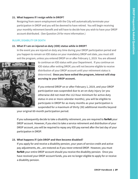#### **21. What happens if I resign while in DROP?**

Resigning from sworn employment with the City will automatically terminate your participation in DROP and you will be deemed to have retired. You will begin receiving your monthly retirement benefit and will have to decide how you wish to have your DROP account distributed. (See Question 29 for more information.)

#### Injury, Disability or Death

#### **22. What if I am on injured on duty (IOD) status while in DROP?**

In the event you are injured on duty any time during your DROP participation period and you happen to remain on IOD status on your mandatory DROP exit date, you must still exit the program, unless you entered DROP on or after February 1, 2019. You are allowed



to continue on IOD status with your Department. If you continue on IOD status after exiting DROP, you will not become eligible to receive distribution of your DROP account until your retirement status is determined. **Once you have exited the program, interest will stop accruing to your DROP account.** 

If you entered DROP on or after February 1, 2019, and your DROP participation was suspended due to an on-duty injury (or you otherwise did not meet the 112-hour minimum for active duty status in one or more calendar months), you will be eligible to participate in DROP for as many months as your participation is suspended for a maximum of thirty (30) additional months beyond

your original 60-month participation period.

If you subsequently decide to take a disability retirement, you are required to **forfeit** your DROP account. However, if you elect to take a service retirement and distribution of your DROP account, you will be required to repay any IOD pay earned after the last day of your participation in DROP.

#### **23. What happens if I join DROP and then become disabled?**

If you apply for and receive a disability pension, your years of service credit and active pay adjustments, etc., are restored as if you never entered DROP. However, you must **forfeit** your entire DROP account should you receive the disability pension. Once you have received your DROP account funds, you are no longer eligible to apply for or receive a disability pension.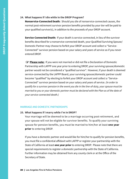#### **24. What happens if I die while in the DROP Program?**

**Nonservice-Connected Death:** Should you die of nonservice-connected causes, the normal post-retirement survivor pension benefits provided by your tier will be paid to your qualified survivor(s), in addition to the proceeds of your DROP account.

**Service-Connected Death:** If your death is service-connected, in lieu of the survivor benefits described for a nonservice-connected death, your Qualified Surviving Spouse/ Domestic Partner may choose to forfeit your DROP account and collect a "Service-Connected" survivor pension based on your salary and years of service as if you never entered DROP.

**Please note:** If you were not married or did not file a Declaration of Domestic Partnership with LAFPP one year prior to entering DROP, your surviving spouse/domestic partner would not be considered a "qualified survivor". However, if your death is deemed service-connected by the LAFPP Board, your surviving spouse/domestic partner could become "qualified" by electing to forfeit your DROP account and collect a "Service-Connected" survivor pension based on your salary and years of service. *(In order to qualify for a survivor pension in the event you die in the line-of-duty, your spouse must be married to you or your domestic partner must be declared with the Plan as of the date of your service-connected death.)*

#### Marriage and Domestic Partnerships

#### **25. What happens if I marry while I'm in DROP?**

Your marriage will be deemed to be a marriage occurring post-retirement, and your spouse will not be eligible for survivor benefits. To qualify your surviving spouse for pension benefits, you must be married to him/her at least **one year prior** to entering DROP.

If you have a domestic partner and would like for him/her to qualify for pension benefits, you must file a confidential affidavit with LAFPP or register your partnership with the State of California at least **one year prior** to entering DROP. Please note that there are special requirements to register a domestic partnership with the State of California. Further information may be obtained from any county clerk or at the Office of the Secretary of State.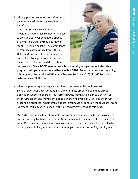# **26. Will my post retirement spouse/domestic partner be entitled to any survivor benefits?**

Under the Survivor Benefit Purchase Program, a Retired Plan Member may elect to provide a survivor benefit to a spouse or domestic partner by reducing his/her monthly pension benefit. The continuance percentage choices range from 30% to 100% in 5% increments. The benefits do not vest until one year from the date of the member's election, and the election



is irrevocable. **Since DROP members are Active employees, you cannot elect this program until you are retired and have exited DROP.** For more information regarding this program, please call the Retirement Services Section at (213) 279-3125 or visit our website, www.LAFPP.com.

#### **27. What happens if my marriage is dissolved prior to or while I'm in DROP?**

Some or all of your DROP account may be community property depending on your dissolution judgment or order. Your former spouse may have a claim to a portion of the DROP account and may be entitled to a share when you exit DROP and the DROP account is distributed. Whether this applies in your case depends on the court orders and judgment. You may wish to check with your own lawyer regarding this issue.

**Note:** Until you actually terminate sworn employment with the City of Los Angeles and become eligible to receive a monthly pension benefit, no monies shall be paid from your DROP account. There are no provisions within the Fire and Police Pension Plan to permit payment of any retirement benefit until you terminate sworn City employment.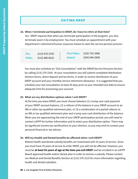# Exiting DROP

#### **28. When I terminate participation in DROP, do I have to retire at that time?**

Yes. DROP requires that when you terminate participation in the program, you also terminate sworn City employment. You must schedule an appointment with your Department's retirement/human resources liaison to start the service pension process:

| <b>Fire</b>   | $(213)$ 978-3750 | <b>Port Police</b> | $(310)$ 732-3486 |
|---------------|------------------|--------------------|------------------|
| <b>Police</b> | $(213)$ 486-6610 | <b>Airport</b>     | $(424)$ 646-5900 |

You must also schedule an "Exit Consultation" with the DROP/Service Pensions Section by calling (213) 279-3100. At your consultation you will submit completed distribution election forms, direct deposit and tax forms, in order to receive distribution of your DROP account and your monthly service retirement allowance. It is suggested that you schedule your exit consultation at least 45 days prior to your intended exit date to ensure adequate time for processing your account.

#### **29. What are my distribution options when I exit DROP?**

At the time you leave DROP, you must choose between (1) a lump sum cash payment of your DROP account balance, (2) a rollover of the balance in your DROP account to an IRA or other tax-qualified retirement plan, or (3) a combination of a partial rollover to an IRA or tax-qualified retirement plan and a lump sum cash distribution of the balance. When you are approaching the end of your DROP participation period, you will need to contact LAFPP for further information and to select your distribution option. There may be significant income tax ramifications to your election, so you may wish to contact your personal financial or tax advisor.

#### **30. Will my Health and Dental benefits be affected when I exit DROP?**

Retiree health and dental subsidy benefits are maximized with 25 years of service. Since you must have 25 years of service to enter DROP, you will not be affected. However, you must be **at least 55 years of age at the time you exit DROP** and be enrolled in an LAFPP Board-approved health and/or dental plan in order to receive a subsidy. Please contact our Medical and Dental Benefits Section at (213) 279-3115 for more information regarding health and dental subsidies.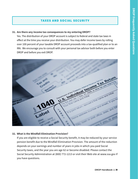# taxes and social security

#### **31. Are there any income tax consequences to my entering DROP?**

Yes. The distribution of your DROP account is subject to federal and state tax laws in effect at the time you receive your distribution. You may defer income taxes by rolling over 100 percent of your taxable DROP account proceeds into a tax-qualified plan or to an IRA. We encourage you to consult with your personal tax advisor both before you enter DROP and before you exit DROP.



#### **32. What is the Windfall Elimination Provision?**

If you are eligible to receive a Social Security benefit, it may be reduced by your service pension benefit due to the Windfall Elimination Provision. The amount of the reduction depends on your earnings and number of years in jobs in which you paid Social Security taxes, and the year you are age 62 or become disabled. Please contact the Social Security Administration at (800) 772-1213 or visit their Web site at www.ssa.gov if you have questions.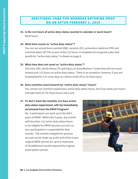# Additional FAQs for Members Entering DROP on or after February 1, 2019

# **33. Is the 112-hours of active duty status counted in calendar or work hours?**  Work hours.

#### **34. What time counts as "active duty status"?**

You can use actual hours worked (HW), vacation (VC), preventive medicine (PM) and overtime taken off (TO) as part of the 112 hours. A complete list of payroll codes that qualify for "active duty status" is shown on page 8.

#### **35. What time does not count as "active duty status"?**

Sick time (SK), family illness (FI) and Injury on Duty/Workers' Comp time will not count toward your 112 hours on active duty status. There is an exception, however, if you are hospitalized for 3 or more days as a direct result of an on-duty injury.

#### **36. Does overtime count toward my "active duty status" hours?**

You cannot use overtime toward your active duty status hours, but if you bank your hours and take them as TO, those hours will count.

## **37. If I don't meet the monthly 112-hour active duty status requirement, will I be immediately terminated from the DROP Program?**

No. A participant can work up to the full 5 years of DROP. Within the 5 years, any month with less than 112 active duty status hours is not eligible for DROP pension accrual (i.e., your participation is suspended for that month). The months ineligible for pension accrual can be made up at the end of the 5-year original DROP period, for up to a maximum of 30 additional months beyond the original participation period.

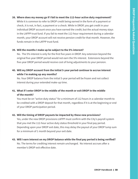#### **38. Where does my money go if I fail to meet the 112-hour active duty requirement?**

While it is common to refer to DROP credit being earned in the form of a payment or check, it is not, in fact, a payment or a check. While in DROP, you get credit in your individual DROP account once you have earned the credit; but the actual money stays in the LAFPP trust fund. If you fail to meet the 112-hour requirement during a calendar month, your DROP account will not receive pension credit for that month. However, the funds remain in the LAFPP trust fund.

#### **39. Will the months I make up be subject to the 5% interest?**

No. The 5% interest is only for the first five years in DROP. Any extension beyond the original five-year DROP period would not earn the 5% interest. Extensions beyond the five-year DROP period would receive cost of living adjustments to your pension.

#### **40. Will my DROP account from the initial 5-year period continue to accrue interest while I'm making up any months?**

No. Your DROP balance from the initial 5-year period will be frozen and not collect interest during your extended make-up time.

### **41. What if I enter DROP in the middle of the month or exit DROP in the middle of the month?**

You must be on "active duty status" for a minimum of 112 hours in a calendar month to be credited with a DROP deposit for that month, regardless if it is at the beginning or end of your DROP participation period.

#### **42. Will the timing of DROP payouts be impacted by these new provisions?**

Yes, under the new DROP provisions LAFPP must confirm with the City's payroll system that you met the 112-hour active duty status threshold in your final pay period. Depending upon your DROP exit date, this may delay the payout of your DROP lump sum for a minimum of 1 month beyond your exit date.

#### **43. Will I earn interest on my DROP balance while the final pay period is being verified?**

No. The terms for crediting interest remain unchanged. No interest accrues after a member's DROP exit effective date.